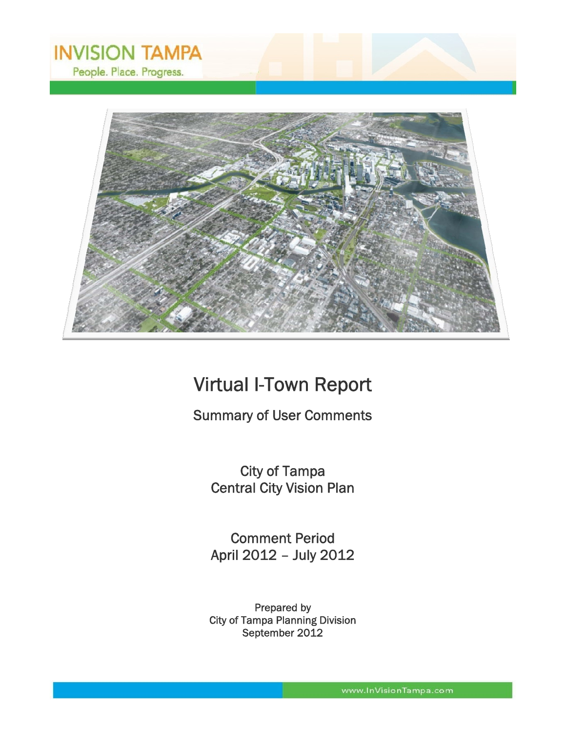

# Virtual I-Town Report

# Summary of User Comments

City of Tampa Central City Vision Plan

Comment Period April 2012 – July 2012

Prepared by City of Tampa Planning Division September 2012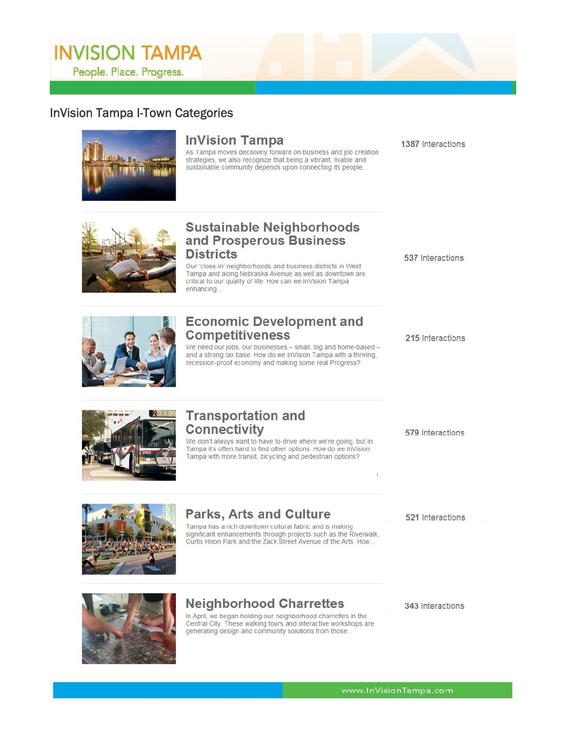# **InVision Tampa I-Town Categories**



# **InVision Tampa**

As Tampa moves decisively forward on business and job creation strategies, we also recognize that being a vibrant, livable and sustainable community depends upon connecting its people...

1387 Interactions



# **Sustainable Neighborhoods<br>and Prosperous Business Districts**

Our 'close-in' neighborhoods and business districts in West Tampa and along Nebraska Avenue as well as downtown are critical to our quality of life. How can we InVision Tampa enhancing.



# **Economic Development and Competitiveness**

We need our jobs, our businesses - small, big and home-based and a strong tax base. How do we InVision Tampa with a thriving, recession-proof economy and making some real Progress?

537 Interactions

215 Interactions



# **Transportation and Connectivity**

We don't always want to have to drive where we're going, but in Tampa it's often hard to find other options. How do we InVision Tampa with more transit, bicycling and pedestrian options?

579 Interactions



# **Parks, Arts and Culture**

Tampa has a rich downtown cultural fabric and is making significant enhancements through projects such as the Riverwalk,<br>Curtis Hixon Park and the Zack Street Avenue of the Arts. How... 521 Interactions



# **Neighborhood Charrettes**

In April, we began holding our neighborhood charrettes in the Central City. These walking tours and interactive workshops are generating design and community solutions from those...

343 Interactions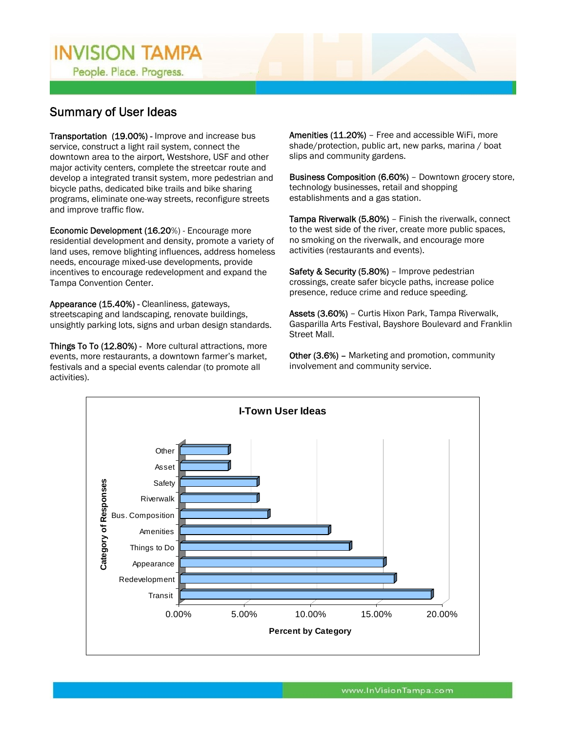People. Place. Progress.

# Summary of User Ideas

Transportation (19.00%) - Improve and increase bus service, construct a light rail system, connect the downtown area to the airport, Westshore, USF and other major activity centers, complete the streetcar route and develop a integrated transit system, more pedestrian and bicycle paths, dedicated bike trails and bike sharing programs, eliminate one-way streets, reconfigure streets and improve traffic flow.

Economic Development (16.20%) - Encourage more residential development and density, promote a variety of land uses, remove blighting influences, address homeless needs, encourage mixed-use developments, provide incentives to encourage redevelopment and expand the Tampa Convention Center.

Appearance (15.40%) - Cleanliness, gateways, streetscaping and landscaping, renovate buildings, unsightly parking lots, signs and urban design standards.

Things To To (12.80%) - More cultural attractions, more events, more restaurants, a downtown farmer's market, festivals and a special events calendar (to promote all activities).

Amenities (11.20%) - Free and accessible WiFi, more shade/protection, public art, new parks, marina / boat slips and community gardens.

Business Composition (6.60%) – Downtown grocery store, technology businesses, retail and shopping establishments and a gas station.

Tampa Riverwalk (5.80%) – Finish the riverwalk, connect to the west side of the river, create more public spaces, no smoking on the riverwalk, and encourage more activities (restaurants and events).

Safety & Security (5.80%) – Improve pedestrian crossings, create safer bicycle paths, increase police presence, reduce crime and reduce speeding.

Assets (3.60%) – Curtis Hixon Park, Tampa Riverwalk, Gasparilla Arts Festival, Bayshore Boulevard and Franklin Street Mall.

Other (3.6%) - Marketing and promotion, community involvement and community service.

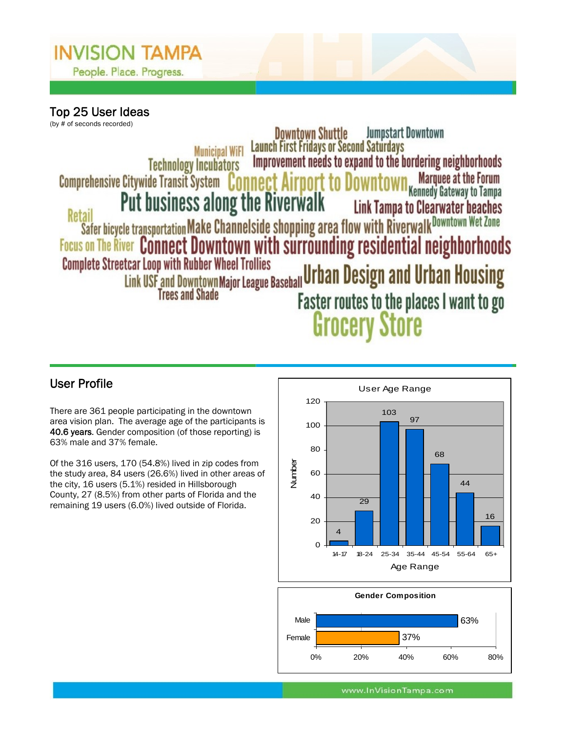

Top 25 User Ideas (by # of seconds recorded)

**Jumpstart Downtown Downtown Shuttle** Launch First Fridays or Second Saturdays<br>Improvement needs to expand to the bordering neighborhoods **Municipal WiFI Technology Incubators** <mark>WM</mark> Marquee at the Forum<br>Kennedy Gateway to Tampa Comprehensive Citywide Transit System Connect Airport to **Put business along the Riverwalk Link Tampa to Clearwater beaches Example to the Buch and Secure 1980.** The Buch of the Buch of the Safer bicycle transportation Make Channelside shopping area flow with Riverwalk Downtown Wet Zone<br>Focus on The River Connect Downtown with surrounding resi Retail Example to the Province of Trees and Shade<br>Link USF and Downtown Major League Baseball Urban Design and Urban Housing<br>Faster routes to the places I want to on Faster routes to the places I want to go **Grocery Store** 

There are 361 people participating in the downtown area vision plan. The average age of the participants is 40.6 years. Gender composition (of those reporting) is 63% male and 37% female.

Of the 316 users, 170 (54.8%) lived in zip codes from the study area, 84 users (26.6%) lived in other areas of the city, 16 users (5.1%) resided in Hillsborough County, 27 (8.5%) from other parts of Florida and the remaining 19 users (6.0%) lived outside of Florida.



 $\overline{a}$ 



www.InVisionTampa.com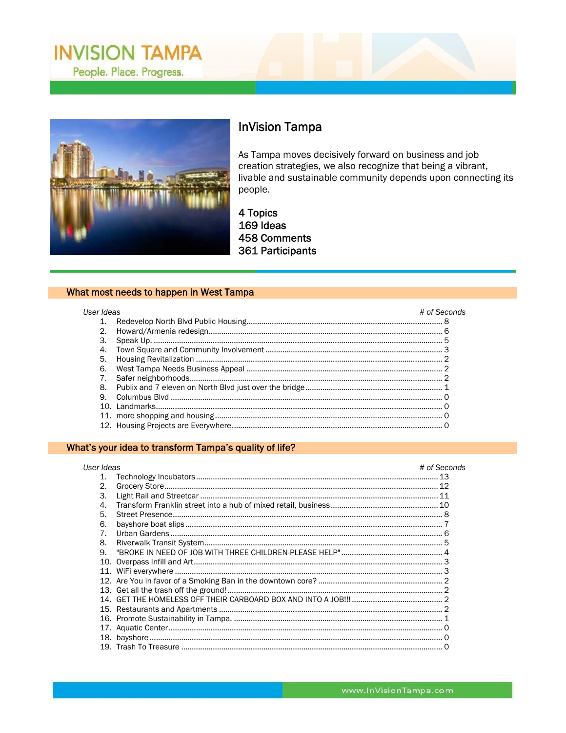



# **InVision Tampa**

As Tampa moves decisively forward on business and job creation strategies, we also recognize that being a vibrant, livable and sustainable community depends upon connecting its people.

4 Topics 169 Ideas 458 Comments 361 Participants

### What most needs to happen in West Tampa

| User Ideas |  | # of Seconds |
|------------|--|--------------|
| 1.         |  |              |
| 2.         |  |              |
| 3.         |  |              |
| 4.         |  |              |
| 5.         |  |              |
| 6.         |  |              |
|            |  |              |
| 8.         |  |              |
| 9          |  |              |
|            |  |              |
|            |  |              |
|            |  |              |

### What's your idea to transform Tampa's quality of life?

| User Ideas            |  | # of Seconds |
|-----------------------|--|--------------|
| 1.                    |  |              |
| $\mathcal{D}_{\cdot}$ |  |              |
| 3.                    |  |              |
| 4                     |  |              |
| 5.                    |  |              |
| 6.                    |  |              |
| $\overline{7}$        |  |              |
| 8.                    |  |              |
| 9.                    |  |              |
|                       |  |              |
|                       |  |              |
|                       |  |              |
|                       |  |              |
|                       |  |              |
|                       |  |              |
|                       |  |              |
|                       |  |              |
|                       |  |              |
|                       |  |              |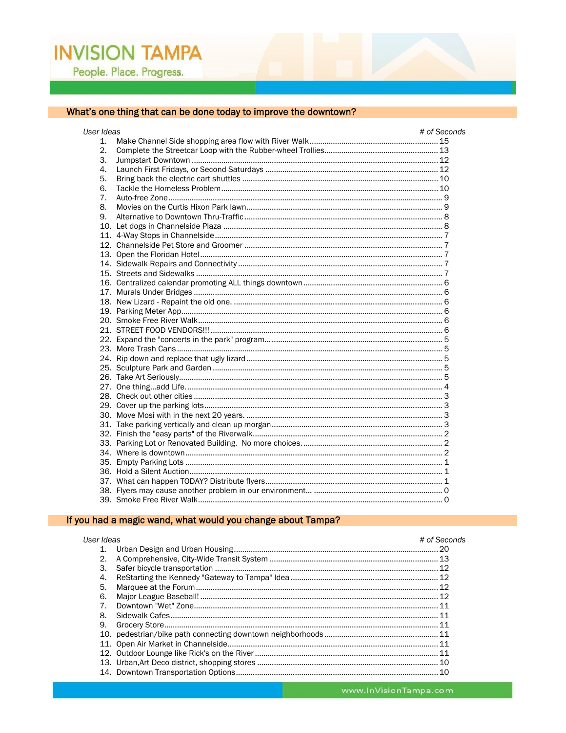## What's one thing that can be done today to improve the downtown?

| User Ideas |  | # of Seconds |
|------------|--|--------------|
| 1.         |  |              |
| 2.         |  |              |
| 3.         |  |              |
| 4.         |  |              |
| 5.         |  |              |
| 6.         |  |              |
| 7.         |  |              |
| 8.         |  |              |
| 9.         |  |              |
|            |  |              |
|            |  |              |
|            |  |              |
|            |  |              |
|            |  |              |
|            |  |              |
|            |  |              |
|            |  |              |
|            |  |              |
|            |  |              |
|            |  |              |
|            |  |              |
|            |  |              |
|            |  |              |
|            |  |              |
|            |  |              |
|            |  |              |
|            |  |              |
|            |  |              |
|            |  |              |
|            |  |              |
|            |  |              |
|            |  |              |
|            |  |              |
|            |  |              |
|            |  |              |
|            |  |              |
|            |  |              |
|            |  |              |
|            |  |              |

## If you had a magic wand, what would you change about Tampa?

| User Ideas |  | # of Seconds |
|------------|--|--------------|
|            |  |              |
| 2.         |  |              |
| 3.         |  |              |
| 4.         |  |              |
| 5.         |  |              |
| 6.         |  |              |
|            |  |              |
| 8.         |  |              |
| 9.         |  |              |
|            |  |              |
|            |  |              |
|            |  |              |
|            |  |              |
|            |  |              |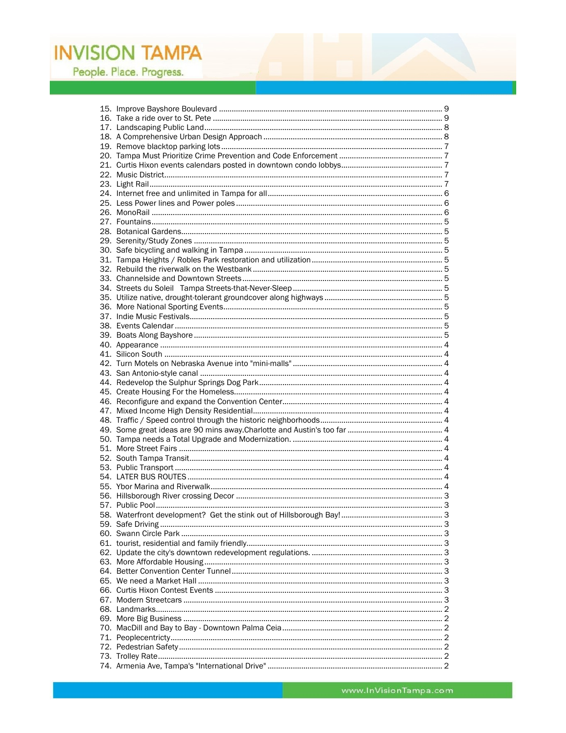People. Place. Progress.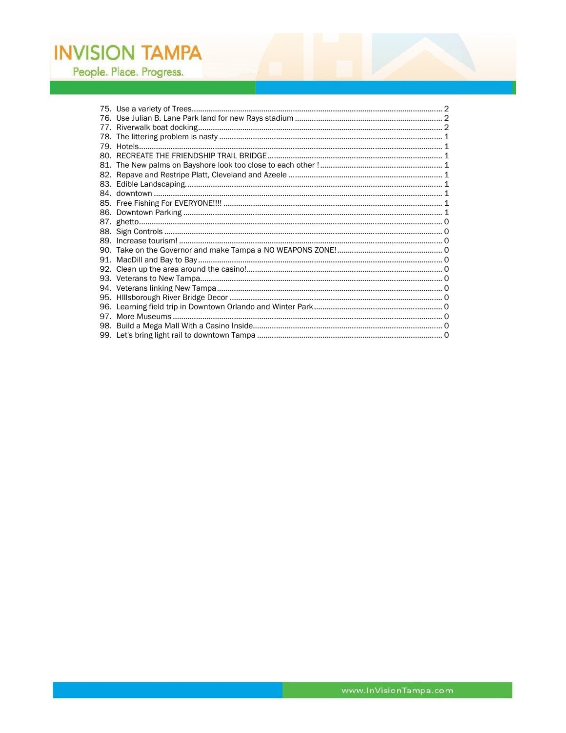People. Place. Progress.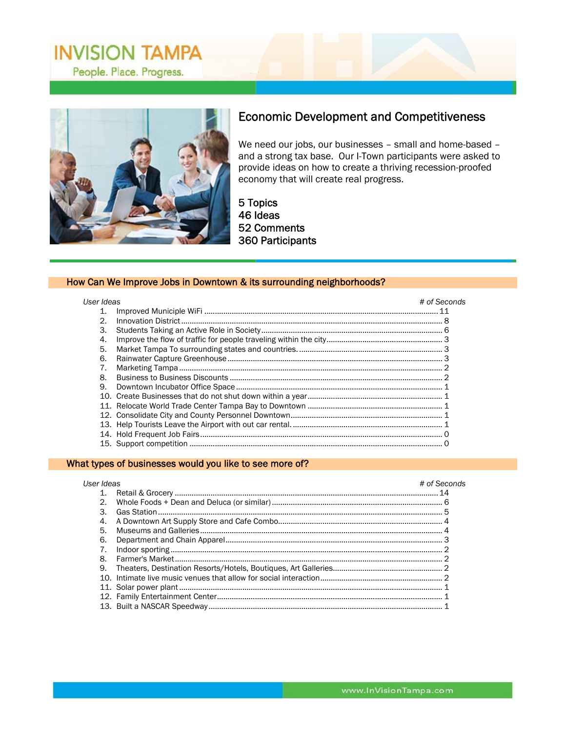

## Economic Development and Competitiveness

We need our jobs, our businesses – small and home-based – and a strong tax base. Our I-Town participants were asked to provide ideas on how to create a thriving recession-proofed economy that will create real progress.

 $\overline{a}$ 

5 Topics 46 Ideas 52 Comments 360 Participants

#### How Can We Improve Jobs in Downtown & its surrounding neighborhoods?

#### *User Ideas # of Seconds*

| 1. |  |
|----|--|
| 2. |  |
| 3. |  |
| 4. |  |
| 5. |  |
| 6. |  |
| 7. |  |
| 8. |  |
| 9. |  |
|    |  |
|    |  |
|    |  |
|    |  |
|    |  |
|    |  |

#### What types of businesses would you like to see more of?

| User Ideas |  | # of Seconds |
|------------|--|--------------|
|            |  |              |
| 2.         |  |              |
| 3.         |  |              |
| 4.         |  |              |
| 5.         |  |              |
| 6.         |  |              |
|            |  |              |
| 8.         |  |              |
| 9.         |  |              |
|            |  |              |
|            |  |              |
|            |  |              |
|            |  |              |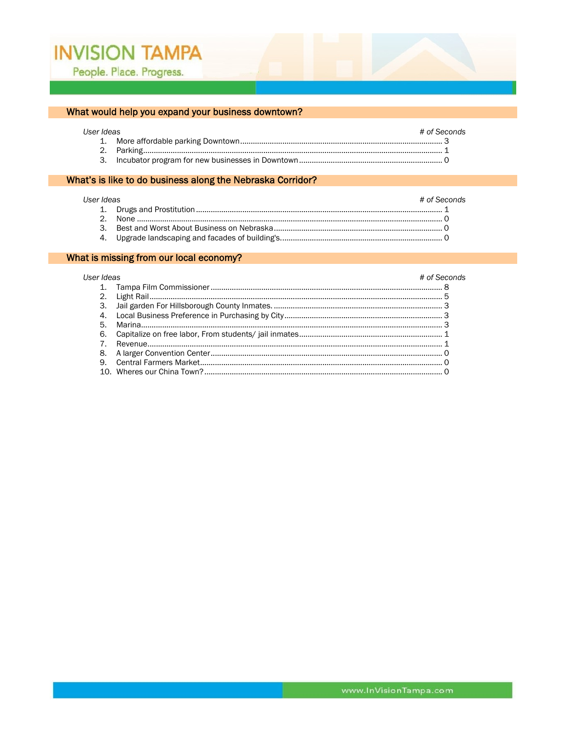## What would help you expand your business downtown?

#### User Io

| r Ideas | # of Seconds |
|---------|--------------|
|         |              |
|         |              |
|         |              |

## What's is like to do business along the Nebraska Corridor?

#### User Ideas

| Ideas | # of Seconds |
|-------|--------------|
|       |              |
|       |              |
|       |              |
|       |              |

#### What is missing from our local economy?

#### # of Seconds

| User Ideas | # of Secc |
|------------|-----------|
|            |           |
|            |           |
|            |           |
|            |           |
|            |           |
|            |           |
|            |           |
|            |           |
|            |           |
|            |           |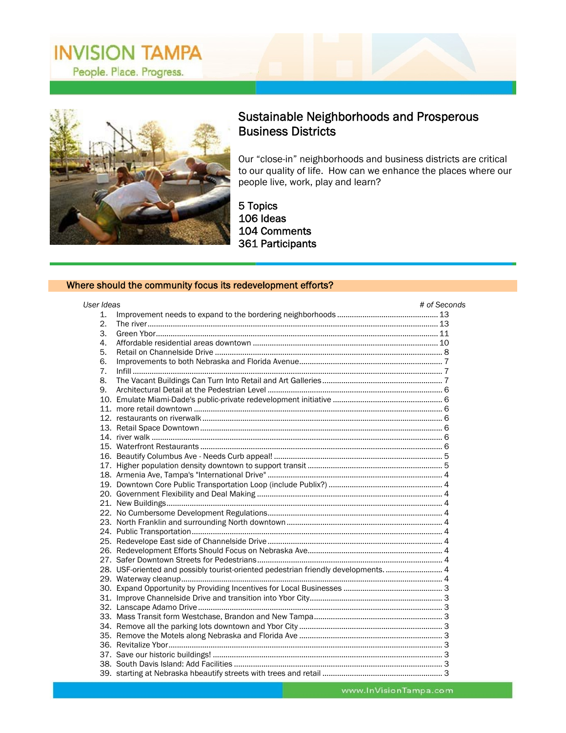

# Sustainable Neighborhoods and Prosperous Business Districts

Our "close-in" neighborhoods and business districts are critical to our quality of life. How can we enhance the places where our people live, work, play and learn?

 $\overline{a}$ 

5 Topics 106 Ideas 104 Comments 361 Participants

#### Where should the community focus its redevelopment efforts?

| User Ideas       |                                                                                   | # of Seconds |
|------------------|-----------------------------------------------------------------------------------|--------------|
| 1.               |                                                                                   |              |
| $\overline{2}$ . |                                                                                   |              |
| 3.               |                                                                                   |              |
| 4.               |                                                                                   |              |
| 5.               |                                                                                   |              |
| 6.               |                                                                                   |              |
| 7.               |                                                                                   |              |
| 8.               |                                                                                   |              |
| 9.               |                                                                                   |              |
|                  |                                                                                   |              |
|                  |                                                                                   |              |
|                  |                                                                                   |              |
|                  |                                                                                   |              |
|                  |                                                                                   |              |
|                  |                                                                                   |              |
|                  |                                                                                   |              |
|                  |                                                                                   |              |
|                  |                                                                                   |              |
|                  |                                                                                   |              |
|                  |                                                                                   |              |
|                  |                                                                                   |              |
|                  |                                                                                   |              |
|                  |                                                                                   |              |
|                  |                                                                                   |              |
|                  |                                                                                   |              |
|                  |                                                                                   |              |
|                  |                                                                                   |              |
|                  | 28. USF-oriented and possibly tourist-oriented pedestrian friendly developments 4 |              |
|                  |                                                                                   |              |
|                  |                                                                                   |              |
|                  |                                                                                   |              |
|                  |                                                                                   |              |
|                  |                                                                                   |              |
|                  |                                                                                   |              |
|                  |                                                                                   |              |
|                  |                                                                                   |              |
|                  |                                                                                   |              |
|                  |                                                                                   |              |
|                  |                                                                                   |              |
|                  |                                                                                   |              |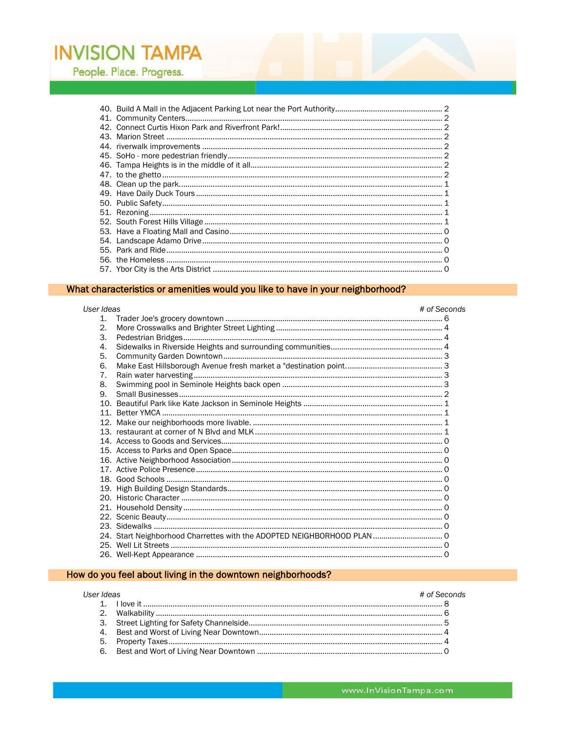People. Place. Progress.

## What characteristics or amenities would you like to have in your neighborhood?

| User Ideas            |                                                                        | # of Seconds |
|-----------------------|------------------------------------------------------------------------|--------------|
| 1.                    |                                                                        |              |
| $\mathcal{D}_{\cdot}$ |                                                                        |              |
| 3.                    |                                                                        |              |
| 4.                    |                                                                        |              |
| 5.                    |                                                                        |              |
| 6.                    |                                                                        |              |
| 7 <sub>1</sub>        |                                                                        |              |
| 8.                    |                                                                        |              |
| 9.                    |                                                                        |              |
|                       |                                                                        |              |
|                       |                                                                        |              |
|                       |                                                                        |              |
|                       |                                                                        |              |
|                       |                                                                        |              |
|                       |                                                                        |              |
|                       |                                                                        |              |
|                       |                                                                        |              |
|                       |                                                                        |              |
|                       |                                                                        |              |
|                       |                                                                        |              |
|                       |                                                                        |              |
|                       |                                                                        |              |
|                       |                                                                        |              |
|                       | 24. Start Neighborhood Charrettes with the ADOPTED NEIGHBORHOOD PLAN 0 |              |
|                       |                                                                        |              |
|                       |                                                                        |              |

## How do you feel about living in the downtown neighborhoods?

## User Ideas

| Ideas | # of Seconds |
|-------|--------------|
|       |              |
|       |              |
|       |              |
|       |              |
|       |              |
|       |              |
|       |              |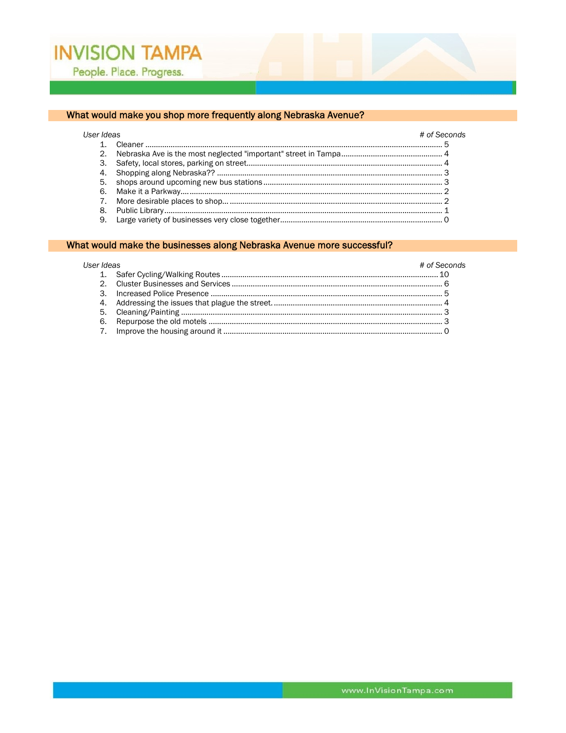#### What would make you shop more frequently along Nebraska Avenue?

#### User Ideas # of Seconds

#### What would make the businesses along Nebraska Avenue more successful?

#### User Ideas # of Seconds 3.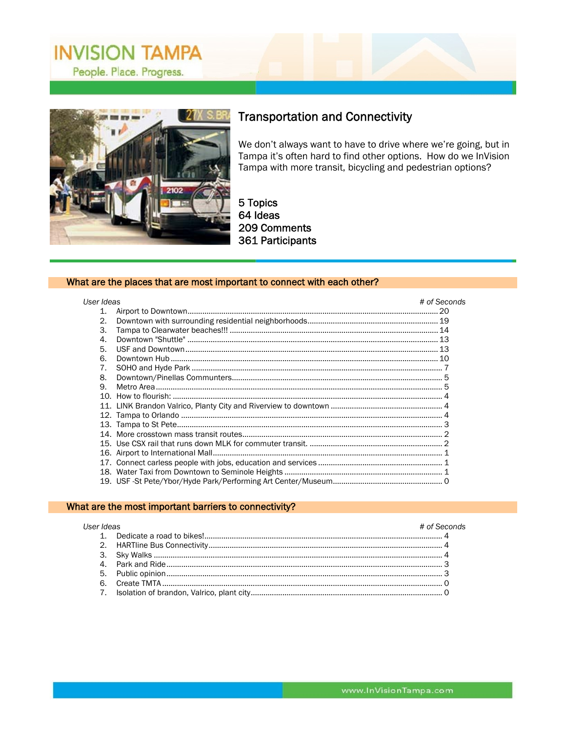

## **Transportation and Connectivity**

We don't always want to have to drive where we're going, but in Tampa it's often hard to find other options. How do we InVision Tampa with more transit, bicycling and pedestrian options?

5 Topics 64 Ideas 209 Comments 361 Participants

#### What are the places that are most important to connect with each other?

| User Ideas       |  | # of Seconds |
|------------------|--|--------------|
| 1.               |  |              |
| 2.               |  |              |
| 3.               |  |              |
| $\overline{4}$ . |  |              |
| 5.               |  |              |
| 6.               |  |              |
| 7 <sub>1</sub>   |  |              |
| 8.               |  |              |
| 9.               |  |              |
|                  |  |              |
|                  |  |              |
|                  |  |              |
|                  |  |              |
|                  |  |              |
|                  |  |              |
|                  |  |              |
|                  |  |              |
|                  |  |              |
|                  |  |              |

#### What are the most important barriers to connectivity?

| <b>I</b> Iser Ideas |  | # of Seconds |
|---------------------|--|--------------|
|                     |  |              |
|                     |  |              |
|                     |  |              |
|                     |  |              |
|                     |  |              |
|                     |  |              |
|                     |  |              |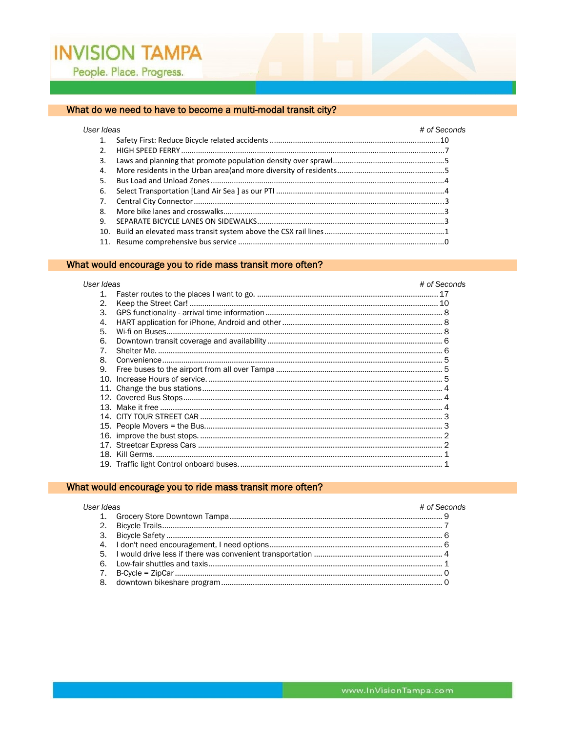## What do we need to have to become a multi-modal transit city?

| User Ideas |  | # of Seconds |
|------------|--|--------------|
| 1.         |  |              |
|            |  |              |
| 3.         |  |              |
| 4.         |  |              |
| 5.         |  |              |
| 6.         |  |              |
| 7.         |  |              |
| 8.         |  |              |
| 9.         |  |              |
|            |  |              |
|            |  |              |

### What would encourage you to ride mass transit more often?

| User Ideas   | # of Seconds |
|--------------|--------------|
| 1.           |              |
| 2.           |              |
| 3.           |              |
| $\mathbf{4}$ |              |
| 5.           |              |
| 6.           |              |
| 7            |              |
| 8.           |              |
| 9.           |              |
|              |              |
|              |              |
|              |              |
|              |              |
|              |              |
|              |              |
|              |              |
|              |              |
|              |              |
|              |              |

## What would encourage you to ride mass transit more often?

| User Ideas | # of Seconds |
|------------|--------------|
|            |              |
|            |              |
|            |              |
|            |              |
|            |              |
|            |              |
|            |              |
| 8.         |              |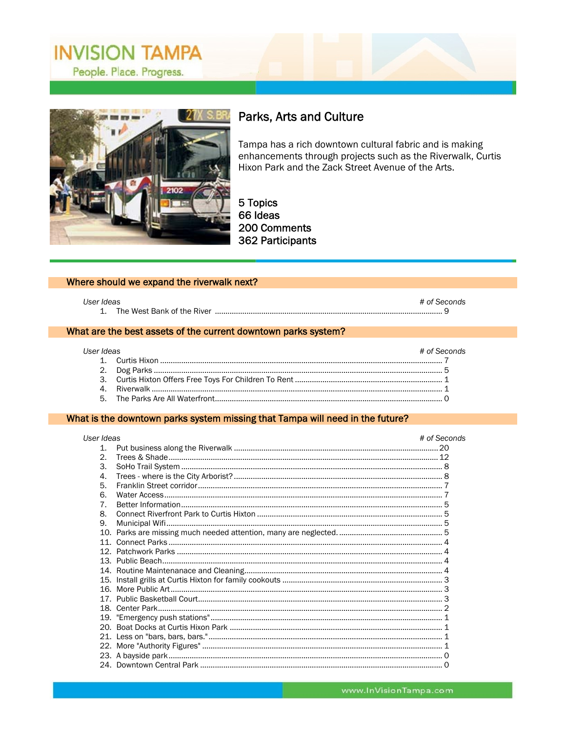

## Parks, Arts and Culture

Tampa has a rich downtown cultural fabric and is making enhancements through projects such as the Riverwalk, Curtis Hixon Park and the Zack Street Avenue of the Arts.

5 Topics 66 Ideas 200 Comments 362 Participants

#### Where should we expand the riverwalk next?

| User Ideas |                            | # of Seconds |  |
|------------|----------------------------|--------------|--|
|            | The West Bank of the River |              |  |

#### What are the best assets of the current downtown parks system?

| Liser Ideas | # of Seconds |
|-------------|--------------|
|             |              |
|             |              |
|             |              |
|             |              |
|             |              |

#### What is the downtown parks system missing that Tampa will need in the future?

| User Ideas     | # of Seconds |
|----------------|--------------|
| $1_{-}$        |              |
| $\mathcal{P}$  |              |
| 3.             |              |
| $\mathbf{A}$ . |              |
| 5.             |              |
| 6.             |              |
| 7 <sub>1</sub> |              |
| 8.             |              |
| 9.             |              |
|                |              |
|                |              |
|                |              |
|                |              |
|                |              |
|                |              |
|                |              |
|                |              |
|                |              |
|                |              |
|                |              |
|                |              |
|                |              |
|                |              |
|                |              |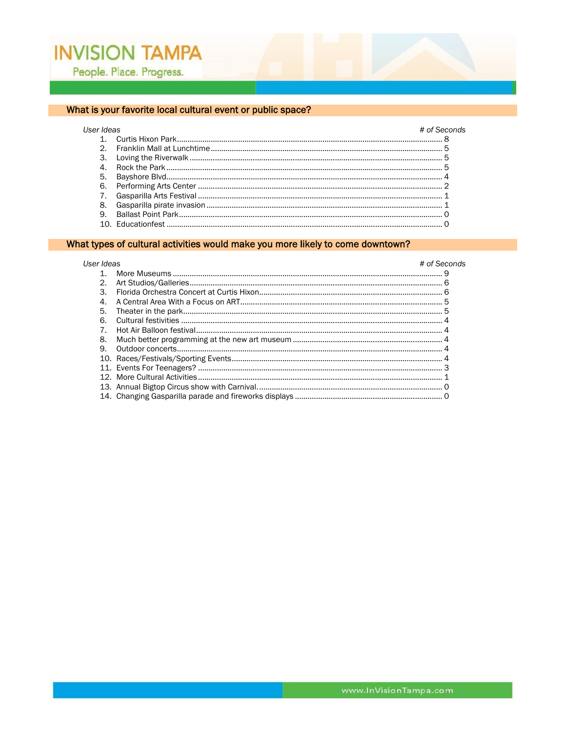User Ideas

#### What is your favorite local cultural event or public space?

## # of Seconds  $\Omega$

#### What types of cultural activities would make you more likely to come downtown?

#### User Ideas # of Seconds  $2.$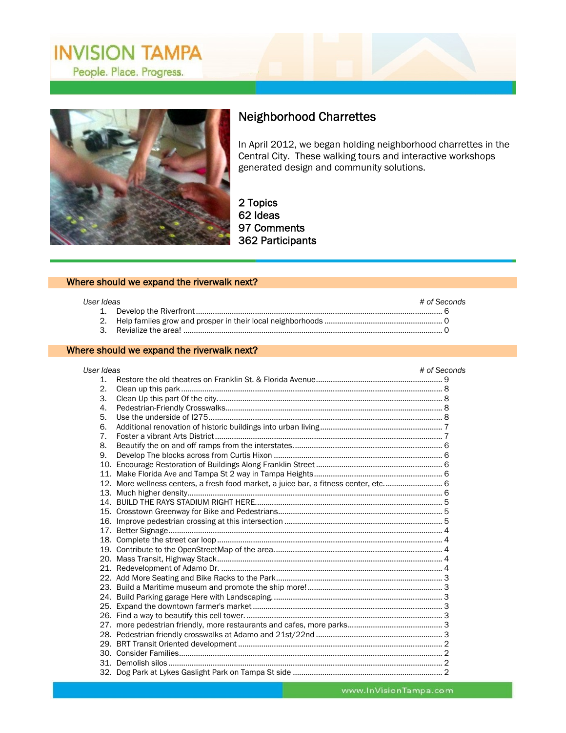

# Neighborhood Charrettes

In April 2012, we began holding neighborhood charrettes in the Central City. These walking tours and interactive workshops generated design and community solutions.

 $\overline{a}$ 

2 Topics 62 Ideas 97 Comments 362 Participants

#### Where should we expand the riverwalk next?

#### *User Ideas # of Seconds*  1. Develop the Riverfront ..................................................................................................................... 6 2. Help famiies grow and prosper in their local neighborhoods ........................................................ 0 3. Revialize the area! ........................................................................................................................... 0

#### Where should we expand the riverwalk next?

| User Ideas     |                                                                                      | # of Seconds |  |
|----------------|--------------------------------------------------------------------------------------|--------------|--|
| 1 <sub>1</sub> |                                                                                      |              |  |
| 2.             |                                                                                      |              |  |
| 3.             |                                                                                      |              |  |
| $\mathbf{4}$   |                                                                                      |              |  |
| 5.             |                                                                                      |              |  |
| 6.             |                                                                                      |              |  |
| 7 <sub>1</sub> |                                                                                      |              |  |
| 8.             |                                                                                      |              |  |
| 9.             |                                                                                      |              |  |
|                |                                                                                      |              |  |
|                |                                                                                      |              |  |
|                | 12. More wellness centers, a fresh food market, a juice bar, a fitness center, etc 6 |              |  |
|                |                                                                                      |              |  |
|                |                                                                                      |              |  |
|                |                                                                                      |              |  |
|                |                                                                                      |              |  |
|                |                                                                                      |              |  |
|                |                                                                                      |              |  |
|                |                                                                                      |              |  |
|                |                                                                                      |              |  |
|                |                                                                                      |              |  |
|                |                                                                                      |              |  |
|                |                                                                                      |              |  |
|                |                                                                                      |              |  |
|                |                                                                                      |              |  |
|                |                                                                                      |              |  |
|                |                                                                                      |              |  |
|                |                                                                                      |              |  |
|                |                                                                                      |              |  |
|                |                                                                                      |              |  |
|                |                                                                                      |              |  |
|                |                                                                                      |              |  |